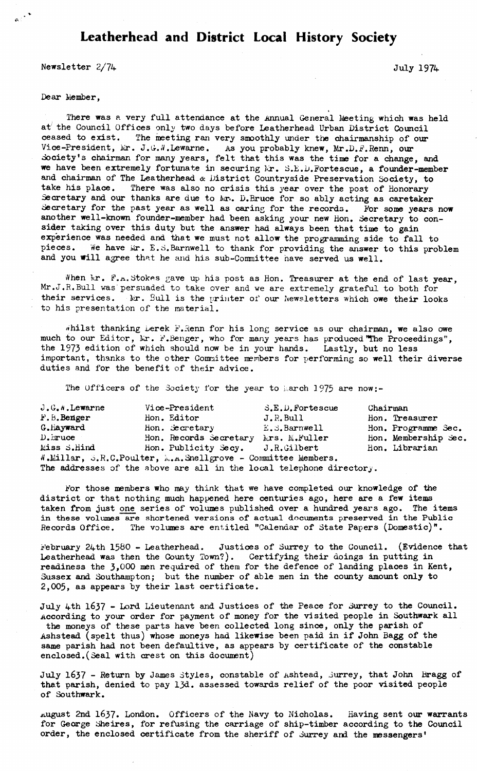## **Leatherhead and District Local History Society**

**Newsletter**  $2/74$  July 1974

## **Dear Member,**

 $\mathfrak{g}\in \mathbb{R}^{\mathbb{Z}}$ 

There was a very full attendance at the Annual General Meeting which was held at the Council Offices only two days before Leatherhead Urban District Council **ceased to exist. The meeting ran very smoothly under the chairmanship of our** Vice-President, Mr. J.G.N.Lewarne. As you probably knew, Mr.D.F.Renn, our **Society's chairman for many years, felt that this was the time for a change, and we have been extremely fortunate in securing Mr. S. E. D. Forte scue, a founder-member and chairman of The Leatherhead & District Countryside Preservation Society, to take his place. There was also no crisis this year over the post of Honorary Secretary and our thanks are due to Mr.. D.Bruce for so ably acting as caretaker Secretary for the past year as well as caring for the records. For some years now another well-known founder-member had been asking your new Hon. Secretary to consider taking over this duty but the answer had always been that time to gain experience was needed and that we must not allow the programming side to fall to** pieces. We have  $\|\mathbf{r}\|$ . E.S.Barnwell to thank for providing the answer to this problem **and you will agree that he and his sub-Committee have served us well.**

When Mr. F.A.Stokes gave up his post as Hon. Treasurer at the end of last year, **Mr.J.R.Bull was'persuaded to take over and we are extremely grateful to both for** their services. Mr. Bull is the printer of our Newsletters which owe their looks **to his presentation of the material.**

whilst thanking berek F.Renn for his long service as our chairman, we also owe **much to our Editor, Mr. F.Benger, who for many years has produced "The Proceedings", the 1973 edition of which should now be in your hands. Lastly, but no less important, thanks to the other Committee members for performing so well their diverse duties and for the benefit of their advice.**

**The Officers of the Society for the year to Larch 1975 are now:-**

| J.G.N.Lewarne | Vice-President                                                       | S.E.D. Fortescue | Chairman |                      |
|---------------|----------------------------------------------------------------------|------------------|----------|----------------------|
| F.B.Benger    | Hon. Editor                                                          | J.R.Bull         |          | Hon. Treasurer       |
| G.Hayward     | Hon. Secretary                                                       | E.S.Barnwell     |          | Hon. Programme Sec.  |
| $D$ . $iruce$ | Hon. Records Secretary Mrs. M.Fuller                                 |                  |          | Hon. Membership Sec. |
| Miss S.Hind   | Hon. Publicity Secy. J.R.Gilbert                                     |                  |          | Hon. Librarian       |
|               | W.Millar, S.R.C.Poulter, M.A.Snellgrove - Committee Members.         |                  |          |                      |
|               | The addresses of the above are all in the local telephone directory. |                  |          |                      |

**For those members who may think that we have completed our knowledge of the district or that nothing much happened here centuries ago, here are a few items taken from just one series of volumes published over a hundred years ago. The items in these volumes are shortened versions of actual documents preserved in the Public Records Office. The volumes are entitled "Calendar of State Papers (Domestic)".**

**February 24th 1580 - Leatherhead. Justices of Surrey to the Council. (Evidence that Leatherhead was then the County Town?). Certifying their doings in putting in readiness the 3»000 men required of them for the defence of landing places in Kent, Sussex and Southampton; but the number of able men in the county amount only to 2 ,005, as appears by their last certificate.**

**July 4th 1637 - Lord Lieutenant and Justices of the Peace for Surrey to the Council. According to your order for payment of money for the visited people in Southwark all the moneys of these parts have been collected long since, only the parish of Ashstead (spelt thus) whose moneys had likewise been paid in if John Bagg of the same parish had not been defaultive, as appears by certificate of the constable enclosed.(Seal with crest on this document)**

**July 1637 - Return by James Styles, constable of Ashtead, Surrey, that John Bragg of that parish, denied to pay 13d. assessed towards relief of the poor visited people of Southwark.**

**august 2nd 1637. London. Officers of the Navy to Nicholas. Having sent our warrants for George Sheires, for refusing the carriage of ship-timber according to the Council order, the enclosed certificate from the sheriff of Surrey and the messengers'**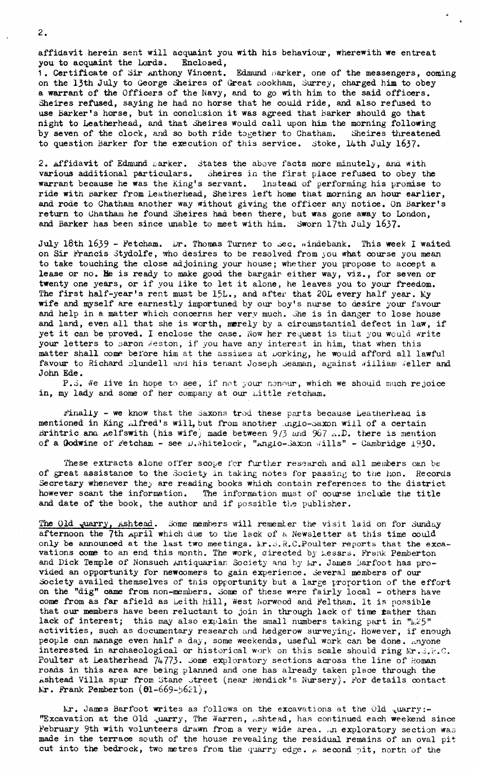**affidavit herein sent will acquaint you with his behaviour, wherewith we entreat** you to acquaint the Lords.

1. Certificate of Sir Anthony Vincent. Edmund marker, one of the messengers, coming **on the 13th July to George Sheires of Great oookham, Surrey, charged him to obey a warrant of the Officers of the Navy, and to go with him to the said officers. Sheires refused, saying he had no horse that he could ride, and also refused to use Barker's horse, but in conclusion it was agreed that barker should go that night to Leatherhead, and that Sheires would call upon him the morning following by seven of the clock, and so both ride together to Chatham. Sheires threatened to question Barker for the execution of this service. Stoke, 14th July 1637.**

**2. Affidavit of Edmund marker. States the above facts more minutely, and with various additional particulars. Sheires in the first place refused to obey the warrant because he was the King's servant. Instead of performing his promise to ride with barker from Leatherhead, Sheires left home that morning an hour earlier, and rode to Chatham another way without giving the officer any notice. On Barker's return to Chatham he found Sheires had been there, but was gone away to London, and Barker has been since unable to meet with him. Sworn 17th July 1637.**

July 18th 1639 - Fetcham. Dr. Thomas Turner to Sec. windebank. This week I waited **on Sir Francis Stydolfe, who desires to be resolved from you what course you mean to take touching the close adjoining your house; whether you propose to accept a lease or no. He is ready to make good the bargain either way, viz., for seven or twenty one years, or if you like to let it alone, he leaves you to your freedom. The first half-year's rent must be 15L., and after that 20L every half year. My wife and ngrself are earnestly importuned by our boy's nurse to desire your favour and help in a matter which concerns her very much. She is in danger to lose house and land, even all that she is worth, merely by a circumstantial defect in law, if yet it can be proved. I enclose the case, Now her request is that you would write** your letters to paron Weston, if you have any interest in him, that when this **matter shall come before him at the assizes at working, he would afford all lawful** favour to Richard Blundell and his tenant Joseph Seaman, against William Weller and **John Ede.**

P.S. We live in hope to see, if not your nonour, which we should much rejoice in, my lady and some of her company at our *Little retcham*.

**Finally - we know that the Saxons trod these parts because Leatherhead is mentioned in King ^fred's will, but from another .^nglo-^axon will of a certain Brihtric ana Aelfswith (his wife) made between** 9/3 **and** 967 **there is mention** of a Godwine of Fetcham - see  $\mu$ . hitelock, "Anglo-Saxon wills" - Cambridge 1930.

**These extracts alone offer scope for further research and all members can be of great assistance to the Society in taking notes for passing to the hon. Records** Secretary whenever the<sub>y</sub> are reading books which contain references to the district **however scant the information. The information must of course include the title and date of the book, the author and if possible the publisher.**

The Old quarry, Ashtead. Some members will remember the visit laid on for Sunday **afternoon the 7th April which due to the lack of a Newsletter at this time could** only be announced at the last two meetings. Mr.S.R.C.Poulter reports that the exca**vations come to an end this month. The work, directed by kessrs. Frank Pemberton** and Dick Temple of Nonsuch Antiquarian Society and by Mr. James Barfoot has pro**vided an opportunity for newcomers to gain experience. Several members of our Society availed themselves of this opportunity but a large proportion of the effort on the "dig" came from non-members. Some of these were fairly local - others have come from as far afield as Leith hill, West Norwood and Feltham. It is possible that our members have been reluctant to join in through lack of time tather than** lack of interest; this may also explain the small numbers taking part in "h.25" **activities, such as documentary research and hedgerow surveying. However, if enough people can manage even half a day, some weekends, useful work can be done, anyone** interested in archaeological or historical work on this scale should ring Kr.3.R.C. Poulter at Leatherhead 74773. Some exploratory sections across the line of Roman **roads in this area are being planned and one has already taken place through the Ashtead Villa spur from Stane Street (near Rendick's Nursery). For details contact kr. Frank Pemberton (61-669-5621),** 

Lr. James Barfoot writes as follows on the excavations at the Old <sub>v</sub>uarry:-**"Excavation at the Old ,uarry, The Warren, Ashtead, has continued each weekend since** February 9th with volunteers drawn from a very wide area. An exploratory section was **made in the terrace south of the house revealing the residual remains of an oval pitcut into the bedrock, two metres from the quarry edge, a second pit, north of the**

2**.**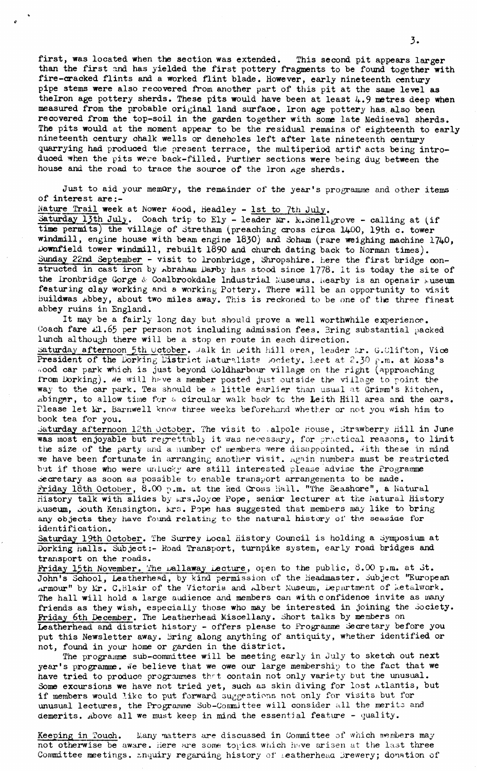**first, was located when the section was extended. This second pit appears larger than the first and has yielded the first pottery fragments to be found together with fire-cracked flints and a worked flint blade. However, early nineteenth century pipe stems were also recovered from another part of this pit at the same level as thelron age pottery sherds. These pits would have been at least 4.9 metres deep when measured from the probable original land surface. Iron age pottery has also been recovered from the top-soil in the garden together with some late Mediaeval sherds. The pits would at the moment appear to be the residual remains of eighteenth to early nineteenth century chalk wells or deneholes left after late nineteenth century quarrying had produced the present terrace, the multiperiod artif acts being introduced when the pits were back-filled. Further sections were being dug between the house and the road to trace the source of the Iron Age sherds.**

**Just to aid your memory, the remainder of the year's programme and other items of interest are:-**

Nature Trail week at Nower *Nood*, Headley - 1st to 7th July.

Saturday 13th July. Coach trip to Ely - leader Mr. M. Snellgrove - calling at (if **time permits) the village of Stretham (preaching cross circa 1400, 19th c. tower** windmill, engine house with beam engine 1830) and Soham (rare weighing machine 1740, **Downfield tower windmill, rebuilt 1890 and church dating back to Norman times).** Sunday 22nd September - visit to lronbridge, Shropshire, here the first bridge con**structed in cast iron by Abraham Darby has stood since 1778. It is today the site of** the Ironbridge Gorge & Coalbrookdale Industrial Museums, hearby is an openair huseum **featuring clay working and a working Pottery. There will be an opportunity to visit buildwas Abbey, about two miles away. This is reckoned to be one of tlie three finest abbey ruins in England.**

**It may be a fairly long day but should prove a well worthwhile experience.** Coach fare £1.65 per person not including admission fees. Bring substantial packed **lunch although there will be a stop en route in each direction.**

Saturday afternoon 5th October. Jalk in Leith hill area, leader *ir. G.Clifton*, Vice President of the Dorking District Naturalists Society. Leet at 2.30 p.m. at Moss's **i.ood car park which is just beyond Ooldharbour village on the right (approaching from Dorking),** *tie* **will h^ve a member posted just outside the village to point the wa**y to the car park. Tea should be a little earlier than usual at Grimm's Kitchen, Abinger, to allow time for a circular walk back to the Leith Hill area and the cars. **Please let lir. Barnwell know three weeks beforehand whether or not you wish him to book tea for you.**

**Saturday afternoon 12th October. The visit to .alpole house, Strawberry hill in June was most enjoyable but regrettably it was necessary, for practical reasons, to limit the size of the party and a number of members were disappointed. Vith these in mind** we have been fortunate in arranging another visit. Again numbers must be restricted **but if those who were unlucky are still interested please advise the Programme Secretary as soon as possible to enable transport arrangements to be made. Friday 16th October, 8.00 p.m. at the Red Cross hall. "The Seashore", a Natural History talk with slides by i.irs.Joyce Pope, senior lecturer at the Natural History iviuseum, South Kensington, krs. Pope has suggested that members may like to bring any objects they have found relating to the natural history of the seaside for identification.**

Saturday 19th October. The Surrey Local History Council is holding a Symposium at **Dorking halls. Subject:- Hoad Transport, turnpike system, early road bridges and transport on the roads.**

Friday 15th November. The pallaway Lecture, open to the public, 8.00 p.m. at St. **John's School, Leatherhead, by kind permission of the Headmaster. Subject "European Armour" by I.Ir. C.Blair of the Victoria and Albert Museum, Department of ketalwork. The hall will hold a large audience and members can with c onfidence invite as many** friends as they wish, especially those who may be interested in joining the Society. **Friday 6th December. The Leatherhead Miscellany. Short talks by members on Leatherhead and district history - offers please to Programme Secretary before you put this Newsletter away. Bring along anything of antiquity, whether identified or not, found in your home or garden in the district.**

**The programme sub-committee will be meeting early in July to sketch out next year's programme.** We believe that we owe our large membership to the fact that we have tried to produce programmes that contain not only variety but the unusual. **Some excursions we have not tried yet, such as skin diving for lost Atlantis, but if members would like to put forward suggestions not only for visits but for unusual lectures, the Programme Sub-Coranittee will consider all the merito and demerits. Above all we must keep in mind the essential feature - quality.**

**Keeping in Touch. Many matters are discussed in Committee of which nwrabers may not otherwise be aware. Here are some topics which have arisen at the last three Committee meetings, inquiry regarding history** *of 1* **-eatherheaa Brewery; donation of**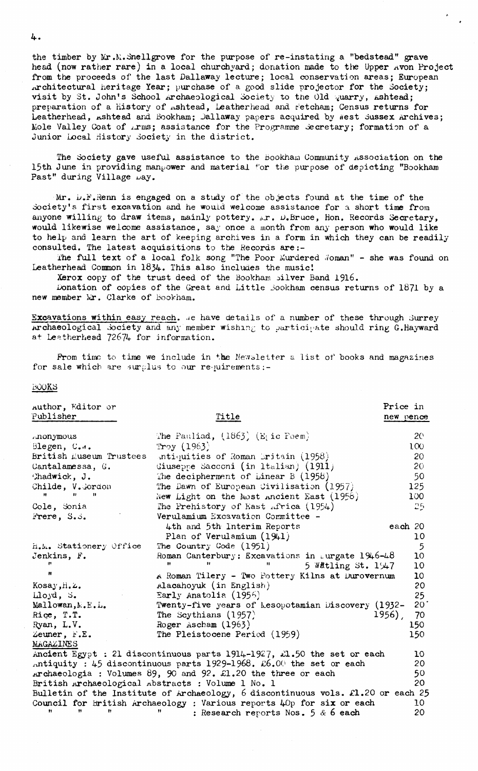**the timber by Mr.K.Snellgrove for the purpose of re-instating a "bedstead" grave head (now rather rare) in a local churchyard; donation made to the Upper Avon Project from the proceeds of the last Dallaway lecture; local conservation areas; European Architectural heritage Year; purchase of a good slide projector for the Society; visit by St. John's School .Archaeological Society to the Old** *quarry,* **Ashtead;** preparation of a history of *ishtead*, Leatherhead and retcham; Census returns for Leatherhead, Ashtead and Bookham; Jallaway papers acquired by west Sussex Archives; Mole Valley Coat of *irms*; assistance for the Programme Secretary; formation of a **Junior Local History Society in the district.**

The Society gave useful assistance to the Bookham Community Association on the **15th June in providing manpower and material \*'or the purpose of depicting "Bookham** Past" during Village  $\mu$ ay.

**Mr. D.P.Renn is engaged on a study of the objects found at the time of the** Society's first excavation and he would welcome assistance for a short time from anyone willing to draw items, mainly pottery.  $\Delta x$ . D.Bruce, Hon. Records Secretary, **would likewise welcome assistance, say once a month from any person who would like to help and learn the art of keeping archives in a form in which they can be readily consulted. The latest acquisitions to the Records are:-**

The full text of a local folk song "The Poor Murdered *Noman"* - she was found on **Leatherhead Common in 1834. This also includes the music I**

**Xerox copy of the trust deed of the Bookham silver Band 1916.**

**Donation of copies of the Great and Little Jookham census returns of 1871 by a** new member Mr. Clarke of Bookham.

Excavations within easy reach. .e have details of a number of these through Surrey Archaeological Society and any member wishing to participate should ring G.Hayward **at Leetherhead 72674 for information.**

**Prom time to time we include in the Newsletter a list of books and magazines** for sale which are surplus to our requirements:-

 $T_{14}$   $+1.6$ 

**Price in new oence**

## **BOOKS**

**Author, Editor or Publisher\_\_\_\_\_\_\_\_**

| r an Troitet            | TT ATC                                                                           | new netter       |
|-------------------------|----------------------------------------------------------------------------------|------------------|
| monymous                | The Pauliad, $(1863)$ (E <sub>1</sub> ic Poem)                                   | 20 <sub>o</sub>  |
| Blegen, C.m.            | Troy $(1963)$                                                                    | 100 <sub>1</sub> |
| British Museum Trustees | antiquities of Roman Britain (1958)                                              | 20               |
| Cantalamessa, G.        | Giuseppe Sacconi (in Italian) (1911)                                             | 20               |
| Chadwick, J.            | The decipherment of Linear $B(1958)$                                             | 50               |
| Childe, V. Gordon       | The Dawn of European Civilisation (1957)                                         | 125              |
| $\mathbf{H}$<br>Ħ.      | New Light on the Most Ancient East $(1956)$                                      | 100              |
| Cole, Sonia             | The Prehistory of East Africa $(1954)$                                           | 25.              |
| Frere, S.S.             | Verulamium Excavation Committee -                                                |                  |
|                         | 4th and 5th Interim Reports                                                      | each 20          |
|                         | Plan of Verulamium $(1941)$                                                      | 10               |
| H.M. Stationery Office  | The Country Code (1951)                                                          | 5                |
| Jenkins, F.             | Roman Canterbury: Excavations in Lurgate $1946 - 48$                             | 10               |
|                         | Ħ<br><br>5 Watling St. $1\frac{1}{4}$                                            | 10               |
|                         | A Roman Tilery - Two Pottery Kilns at Durovernum                                 | 10               |
| Kosay, H.Z.             | Alacahoyuk (in English)                                                          | 20               |
| $\text{Log}d$ , S.      | Early Anatolia (1956)                                                            | 25               |
| Mallowan, N.E.L.        | Twenty-five years of Lesopotamian Discovery (1932-                               | 20               |
| Rice, T.T.              | The Scythians $(1957)$                                                           | 1956),<br>70     |
| Ryan, L.V.              | Roger Ascham (1963)                                                              | 150              |
| Zeuner, F.E.            | The Pleistocene Period (1959)                                                    | 150              |
| MAGAZINES               |                                                                                  |                  |
|                         | Ancient Egypt : 21 discontinuous parts 1914-1927, $\angle 1.50$ the set or each  | 10               |
|                         | Antiquity : 45 discontinuous parts $1929-1968$ . £6.00 the set or each           | 20               |
|                         | Archaeologia : Volumes 89, 90 and 92. £1.20 the three or each                    | 50               |
|                         | British Archaeological Abstracts : Volume 1 No. 1                                | 20               |
|                         | Bulletin of the Institute of Archaeology, 6 discontinuous vols. £1.20 or each 25 |                  |
|                         | Council for British Archaeology : Various reports 40p for six or each            | 10               |
| Ħ<br>Ħ                  | : Research reports Nos. 5 $\&$ 6 each                                            | 20               |

4 **.**